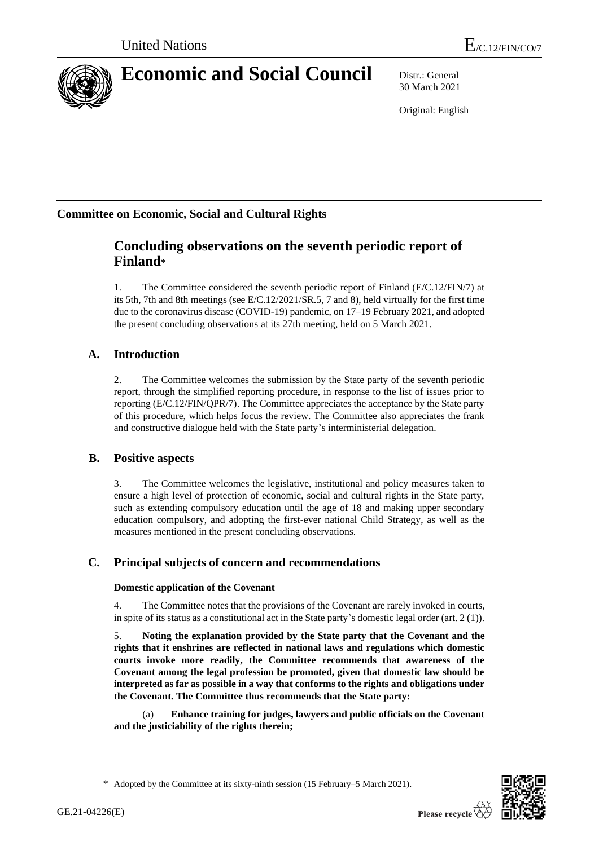

# **Economic and Social Council** Distr.: General

30 March 2021

Original: English

# **Committee on Economic, Social and Cultural Rights**

# **Concluding observations on the seventh periodic report of Finland**\*

1. The Committee considered the seventh periodic report of Finland (E/C.12/FIN/7) at its 5th, 7th and 8th meetings (see E/C.12/2021/SR.5, 7 and 8), held virtually for the first time due to the coronavirus disease (COVID-19) pandemic, on 17–19 February 2021, and adopted the present concluding observations at its 27th meeting, held on 5 March 2021.

# **A. Introduction**

2. The Committee welcomes the submission by the State party of the seventh periodic report, through the simplified reporting procedure, in response to the list of issues prior to reporting (E/C.12/FIN/QPR/7). The Committee appreciates the acceptance by the State party of this procedure, which helps focus the review. The Committee also appreciates the frank and constructive dialogue held with the State party's interministerial delegation.

### **B. Positive aspects**

3. The Committee welcomes the legislative, institutional and policy measures taken to ensure a high level of protection of economic, social and cultural rights in the State party, such as extending compulsory education until the age of 18 and making upper secondary education compulsory, and adopting the first-ever national Child Strategy, as well as the measures mentioned in the present concluding observations.

### **C. Principal subjects of concern and recommendations**

### **Domestic application of the Covenant**

4. The Committee notes that the provisions of the Covenant are rarely invoked in courts, in spite of its status as a constitutional act in the State party's domestic legal order (art. 2 (1)).

5. **Noting the explanation provided by the State party that the Covenant and the rights that it enshrines are reflected in national laws and regulations which domestic courts invoke more readily, the Committee recommends that awareness of the Covenant among the legal profession be promoted, given that domestic law should be interpreted as far as possible in a way that conforms to the rights and obligations under the Covenant. The Committee thus recommends that the State party:**

(a) **Enhance training for judges, lawyers and public officials on the Covenant and the justiciability of the rights therein;**



<sup>\*</sup> Adopted by the Committee at its sixty-ninth session (15 February–5 March 2021).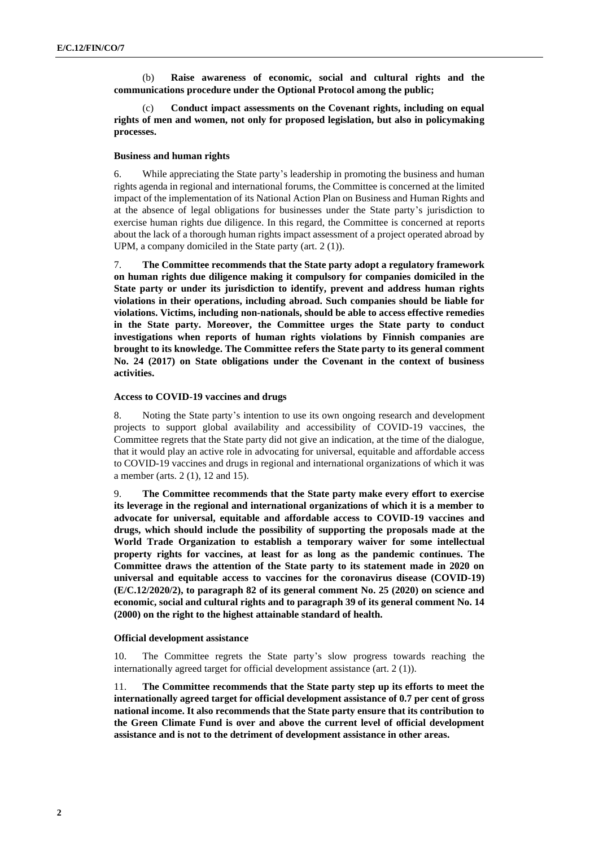(b) **Raise awareness of economic, social and cultural rights and the communications procedure under the Optional Protocol among the public;**

(c) **Conduct impact assessments on the Covenant rights, including on equal rights of men and women, not only for proposed legislation, but also in policymaking processes.**

#### **Business and human rights**

6. While appreciating the State party's leadership in promoting the business and human rights agenda in regional and international forums, the Committee is concerned at the limited impact of the implementation of its National Action Plan on Business and Human Rights and at the absence of legal obligations for businesses under the State party's jurisdiction to exercise human rights due diligence. In this regard, the Committee is concerned at reports about the lack of a thorough human rights impact assessment of a project operated abroad by UPM, a company domiciled in the State party (art. 2 (1)).

7. **The Committee recommends that the State party adopt a regulatory framework on human rights due diligence making it compulsory for companies domiciled in the State party or under its jurisdiction to identify, prevent and address human rights violations in their operations, including abroad. Such companies should be liable for violations. Victims, including non-nationals, should be able to access effective remedies in the State party. Moreover, the Committee urges the State party to conduct investigations when reports of human rights violations by Finnish companies are brought to its knowledge. The Committee refers the State party to its general comment No. 24 (2017) on State obligations under the Covenant in the context of business activities.** 

#### **Access to COVID-19 vaccines and drugs**

8. Noting the State party's intention to use its own ongoing research and development projects to support global availability and accessibility of COVID-19 vaccines, the Committee regrets that the State party did not give an indication, at the time of the dialogue, that it would play an active role in advocating for universal, equitable and affordable access to COVID-19 vaccines and drugs in regional and international organizations of which it was a member (arts. 2 (1), 12 and 15).

9. **The Committee recommends that the State party make every effort to exercise its leverage in the regional and international organizations of which it is a member to advocate for universal, equitable and affordable access to COVID-19 vaccines and drugs, which should include the possibility of supporting the proposals made at the World Trade Organization to establish a temporary waiver for some intellectual property rights for vaccines, at least for as long as the pandemic continues. The Committee draws the attention of the State party to its statement made in 2020 on universal and equitable access to vaccines for the coronavirus disease (COVID-19) (E/C.12/2020/2), to paragraph 82 of its general comment No. 25 (2020) on science and economic, social and cultural rights and to paragraph 39 of its general comment No. 14 (2000) on the right to the highest attainable standard of health.** 

#### **Official development assistance**

10. The Committee regrets the State party's slow progress towards reaching the internationally agreed target for official development assistance (art. 2 (1)).

11. **The Committee recommends that the State party step up its efforts to meet the internationally agreed target for official development assistance of 0.7 per cent of gross national income. It also recommends that the State party ensure that its contribution to the Green Climate Fund is over and above the current level of official development assistance and is not to the detriment of development assistance in other areas.**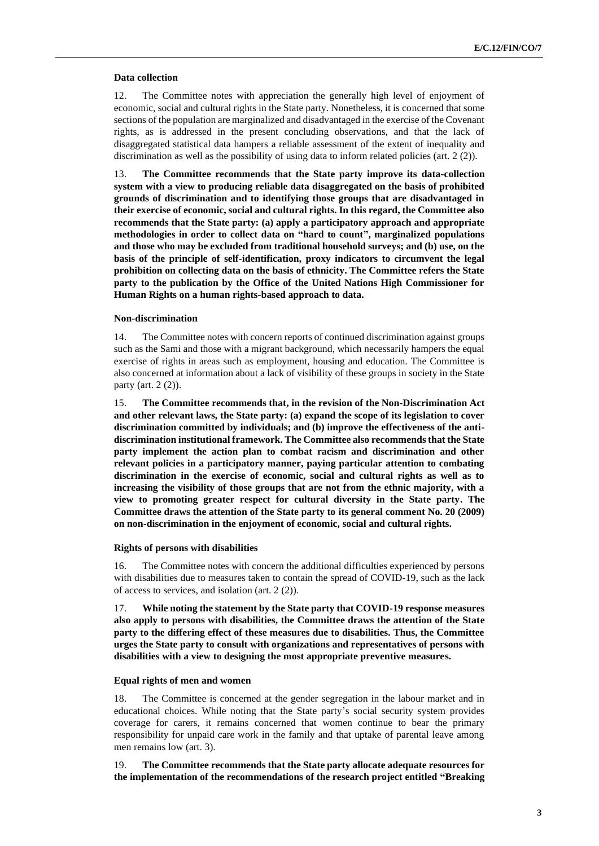#### **Data collection**

12. The Committee notes with appreciation the generally high level of enjoyment of economic, social and cultural rights in the State party. Nonetheless, it is concerned that some sections of the population are marginalized and disadvantaged in the exercise of the Covenant rights, as is addressed in the present concluding observations, and that the lack of disaggregated statistical data hampers a reliable assessment of the extent of inequality and discrimination as well as the possibility of using data to inform related policies (art. 2 (2)).

13. **The Committee recommends that the State party improve its data-collection system with a view to producing reliable data disaggregated on the basis of prohibited grounds of discrimination and to identifying those groups that are disadvantaged in their exercise of economic, social and cultural rights. In this regard, the Committee also recommends that the State party: (a) apply a participatory approach and appropriate methodologies in order to collect data on "hard to count", marginalized populations and those who may be excluded from traditional household surveys; and (b) use, on the basis of the principle of self-identification, proxy indicators to circumvent the legal prohibition on collecting data on the basis of ethnicity. The Committee refers the State party to the publication by the Office of the United Nations High Commissioner for Human Rights on a human rights-based approach to data.**

#### **Non-discrimination**

14. The Committee notes with concern reports of continued discrimination against groups such as the Sami and those with a migrant background, which necessarily hampers the equal exercise of rights in areas such as employment, housing and education. The Committee is also concerned at information about a lack of visibility of these groups in society in the State party (art. 2 (2)).

15. **The Committee recommends that, in the revision of the Non-Discrimination Act and other relevant laws, the State party: (a) expand the scope of its legislation to cover discrimination committed by individuals; and (b) improve the effectiveness of the antidiscrimination institutional framework. The Committee also recommends that the State party implement the action plan to combat racism and discrimination and other relevant policies in a participatory manner, paying particular attention to combating discrimination in the exercise of economic, social and cultural rights as well as to increasing the visibility of those groups that are not from the ethnic majority, with a view to promoting greater respect for cultural diversity in the State party. The Committee draws the attention of the State party to its general comment No. 20 (2009) on non-discrimination in the enjoyment of economic, social and cultural rights.**

#### **Rights of persons with disabilities**

16. The Committee notes with concern the additional difficulties experienced by persons with disabilities due to measures taken to contain the spread of COVID-19, such as the lack of access to services, and isolation (art. 2 (2)).

17. **While noting the statement by the State party that COVID-19 response measures also apply to persons with disabilities, the Committee draws the attention of the State party to the differing effect of these measures due to disabilities. Thus, the Committee urges the State party to consult with organizations and representatives of persons with disabilities with a view to designing the most appropriate preventive measures.** 

#### **Equal rights of men and women**

18. The Committee is concerned at the gender segregation in the labour market and in educational choices. While noting that the State party's social security system provides coverage for carers, it remains concerned that women continue to bear the primary responsibility for unpaid care work in the family and that uptake of parental leave among men remains low (art. 3).

19. **The Committee recommends that the State party allocate adequate resources for the implementation of the recommendations of the research project entitled "Breaking**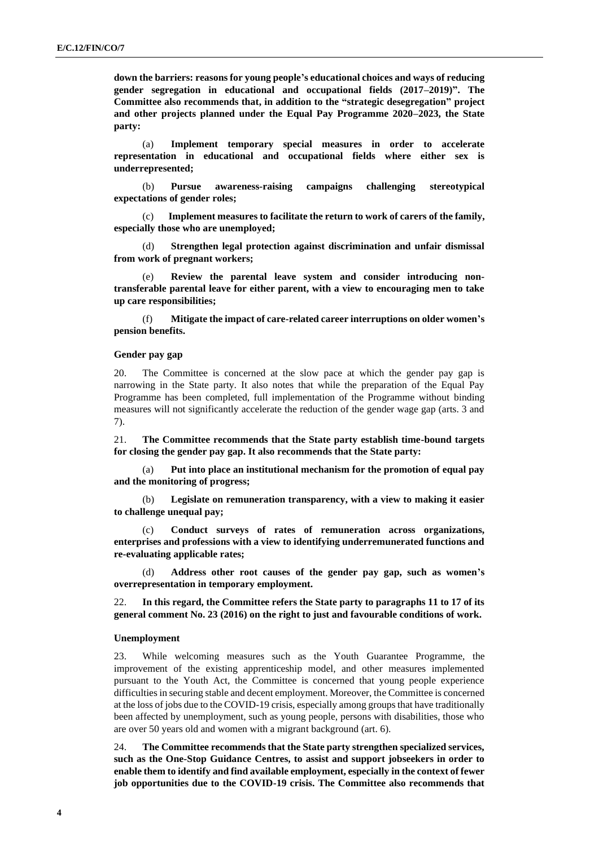**down the barriers: reasons for young people's educational choices and ways of reducing gender segregation in educational and occupational fields (2017–2019)". The Committee also recommends that, in addition to the "strategic desegregation" project and other projects planned under the Equal Pay Programme 2020–2023, the State party:** 

(a) **Implement temporary special measures in order to accelerate representation in educational and occupational fields where either sex is underrepresented;** 

(b) **Pursue awareness-raising campaigns challenging stereotypical expectations of gender roles;** 

(c) **Implement measures to facilitate the return to work of carers of the family, especially those who are unemployed;** 

(d) **Strengthen legal protection against discrimination and unfair dismissal from work of pregnant workers;**

(e) **Review the parental leave system and consider introducing nontransferable parental leave for either parent, with a view to encouraging men to take up care responsibilities;**

(f) **Mitigate the impact of care-related career interruptions on older women's pension benefits.** 

#### **Gender pay gap**

20. The Committee is concerned at the slow pace at which the gender pay gap is narrowing in the State party. It also notes that while the preparation of the Equal Pay Programme has been completed, full implementation of the Programme without binding measures will not significantly accelerate the reduction of the gender wage gap (arts. 3 and 7).

21. **The Committee recommends that the State party establish time-bound targets for closing the gender pay gap. It also recommends that the State party:**

(a) **Put into place an institutional mechanism for the promotion of equal pay and the monitoring of progress;** 

(b) **Legislate on remuneration transparency, with a view to making it easier to challenge unequal pay;** 

(c) **Conduct surveys of rates of remuneration across organizations, enterprises and professions with a view to identifying underremunerated functions and re-evaluating applicable rates;** 

(d) **Address other root causes of the gender pay gap, such as women's overrepresentation in temporary employment.** 

22. **In this regard, the Committee refers the State party to paragraphs 11 to 17 of its general comment No. 23 (2016) on the right to just and favourable conditions of work.**

#### **Unemployment**

23. While welcoming measures such as the Youth Guarantee Programme, the improvement of the existing apprenticeship model, and other measures implemented pursuant to the Youth Act, the Committee is concerned that young people experience difficulties in securing stable and decent employment. Moreover, the Committee is concerned at the loss of jobs due to the COVID-19 crisis, especially among groups that have traditionally been affected by unemployment, such as young people, persons with disabilities, those who are over 50 years old and women with a migrant background (art. 6).

24. **The Committee recommends that the State party strengthen specialized services, such as the One-Stop Guidance Centres, to assist and support jobseekers in order to enable them to identify and find available employment, especially in the context of fewer job opportunities due to the COVID-19 crisis. The Committee also recommends that**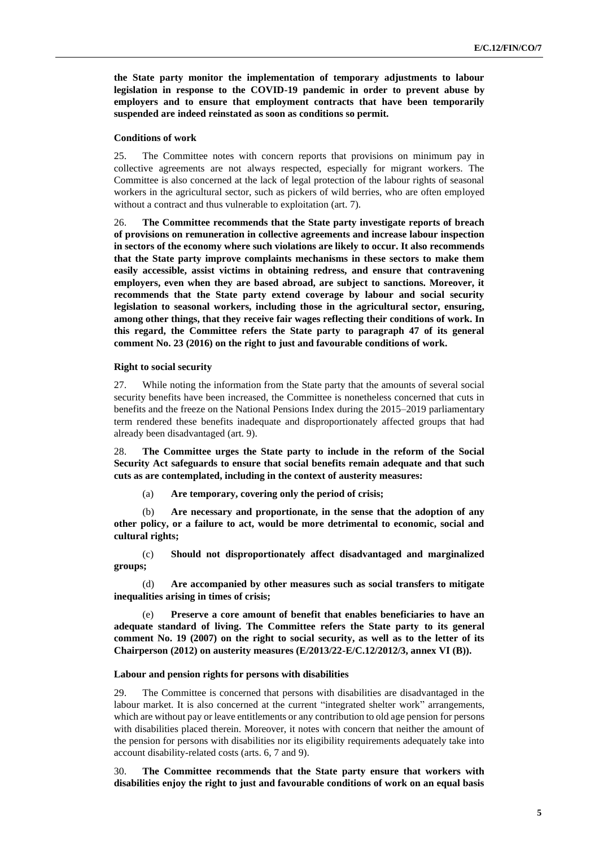**the State party monitor the implementation of temporary adjustments to labour legislation in response to the COVID-19 pandemic in order to prevent abuse by employers and to ensure that employment contracts that have been temporarily suspended are indeed reinstated as soon as conditions so permit.** 

#### **Conditions of work**

25. The Committee notes with concern reports that provisions on minimum pay in collective agreements are not always respected, especially for migrant workers. The Committee is also concerned at the lack of legal protection of the labour rights of seasonal workers in the agricultural sector, such as pickers of wild berries, who are often employed without a contract and thus vulnerable to exploitation (art. 7).

26. **The Committee recommends that the State party investigate reports of breach of provisions on remuneration in collective agreements and increase labour inspection in sectors of the economy where such violations are likely to occur. It also recommends that the State party improve complaints mechanisms in these sectors to make them easily accessible, assist victims in obtaining redress, and ensure that contravening employers, even when they are based abroad, are subject to sanctions. Moreover, it recommends that the State party extend coverage by labour and social security legislation to seasonal workers, including those in the agricultural sector, ensuring, among other things, that they receive fair wages reflecting their conditions of work. In this regard, the Committee refers the State party to paragraph 47 of its general comment No. 23 (2016) on the right to just and favourable conditions of work.**

#### **Right to social security**

27. While noting the information from the State party that the amounts of several social security benefits have been increased, the Committee is nonetheless concerned that cuts in benefits and the freeze on the National Pensions Index during the 2015–2019 parliamentary term rendered these benefits inadequate and disproportionately affected groups that had already been disadvantaged (art. 9).

28. **The Committee urges the State party to include in the reform of the Social Security Act safeguards to ensure that social benefits remain adequate and that such cuts as are contemplated, including in the context of austerity measures:**

(a) **Are temporary, covering only the period of crisis;** 

(b) **Are necessary and proportionate, in the sense that the adoption of any other policy, or a failure to act, would be more detrimental to economic, social and cultural rights;** 

(c) **Should not disproportionately affect disadvantaged and marginalized groups;** 

(d) **Are accompanied by other measures such as social transfers to mitigate inequalities arising in times of crisis;** 

(e) **Preserve a core amount of benefit that enables beneficiaries to have an adequate standard of living. The Committee refers the State party to its general comment No. 19 (2007) on the right to social security, as well as to the letter of its Chairperson (2012) on austerity measures (E/2013/22-E/C.12/2012/3, annex VI (B)).**

#### **Labour and pension rights for persons with disabilities**

29. The Committee is concerned that persons with disabilities are disadvantaged in the labour market. It is also concerned at the current "integrated shelter work" arrangements, which are without pay or leave entitlements or any contribution to old age pension for persons with disabilities placed therein. Moreover, it notes with concern that neither the amount of the pension for persons with disabilities nor its eligibility requirements adequately take into account disability-related costs (arts. 6, 7 and 9).

30. **The Committee recommends that the State party ensure that workers with disabilities enjoy the right to just and favourable conditions of work on an equal basis**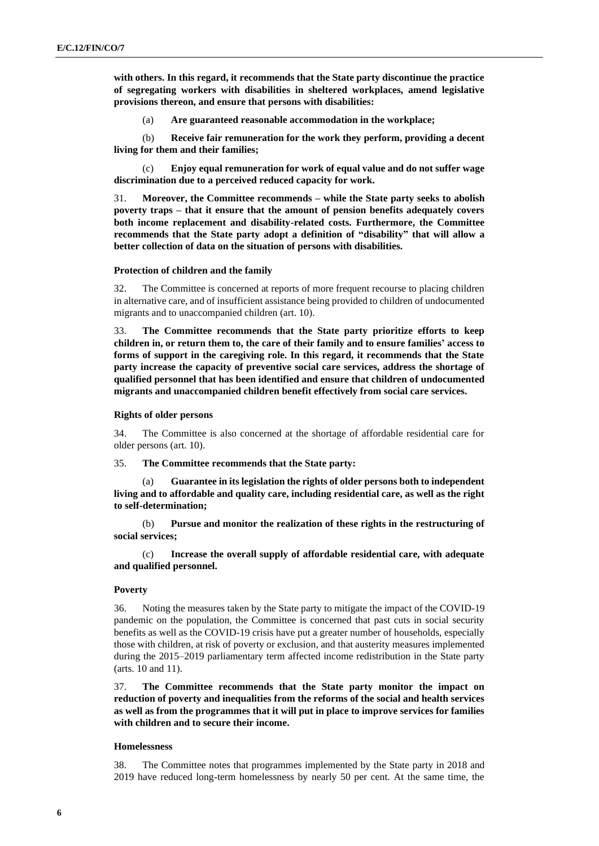**with others. In this regard, it recommends that the State party discontinue the practice of segregating workers with disabilities in sheltered workplaces, amend legislative provisions thereon, and ensure that persons with disabilities:**

(a) **Are guaranteed reasonable accommodation in the workplace;** 

(b) **Receive fair remuneration for the work they perform, providing a decent living for them and their families;** 

(c) **Enjoy equal remuneration for work of equal value and do not suffer wage discrimination due to a perceived reduced capacity for work.** 

31. **Moreover, the Committee recommends – while the State party seeks to abolish poverty traps – that it ensure that the amount of pension benefits adequately covers both income replacement and disability-related costs. Furthermore, the Committee recommends that the State party adopt a definition of "disability" that will allow a better collection of data on the situation of persons with disabilities.** 

#### **Protection of children and the family**

32. The Committee is concerned at reports of more frequent recourse to placing children in alternative care, and of insufficient assistance being provided to children of undocumented migrants and to unaccompanied children (art. 10).

33. **The Committee recommends that the State party prioritize efforts to keep children in, or return them to, the care of their family and to ensure families' access to forms of support in the caregiving role. In this regard, it recommends that the State party increase the capacity of preventive social care services, address the shortage of qualified personnel that has been identified and ensure that children of undocumented migrants and unaccompanied children benefit effectively from social care services.** 

#### **Rights of older persons**

34. The Committee is also concerned at the shortage of affordable residential care for older persons (art. 10).

35. **The Committee recommends that the State party:**

Guarantee in its legislation the rights of older persons both to independent **living and to affordable and quality care, including residential care, as well as the right to self-determination;** 

(b) **Pursue and monitor the realization of these rights in the restructuring of social services;** 

(c) **Increase the overall supply of affordable residential care, with adequate and qualified personnel.**

#### **Poverty**

36. Noting the measures taken by the State party to mitigate the impact of the COVID-19 pandemic on the population, the Committee is concerned that past cuts in social security benefits as well as the COVID-19 crisis have put a greater number of households, especially those with children, at risk of poverty or exclusion, and that austerity measures implemented during the 2015–2019 parliamentary term affected income redistribution in the State party (arts. 10 and 11).

37. **The Committee recommends that the State party monitor the impact on reduction of poverty and inequalities from the reforms of the social and health services as well as from the programmes that it will put in place to improve services for families with children and to secure their income.**

#### **Homelessness**

38. The Committee notes that programmes implemented by the State party in 2018 and 2019 have reduced long-term homelessness by nearly 50 per cent. At the same time, the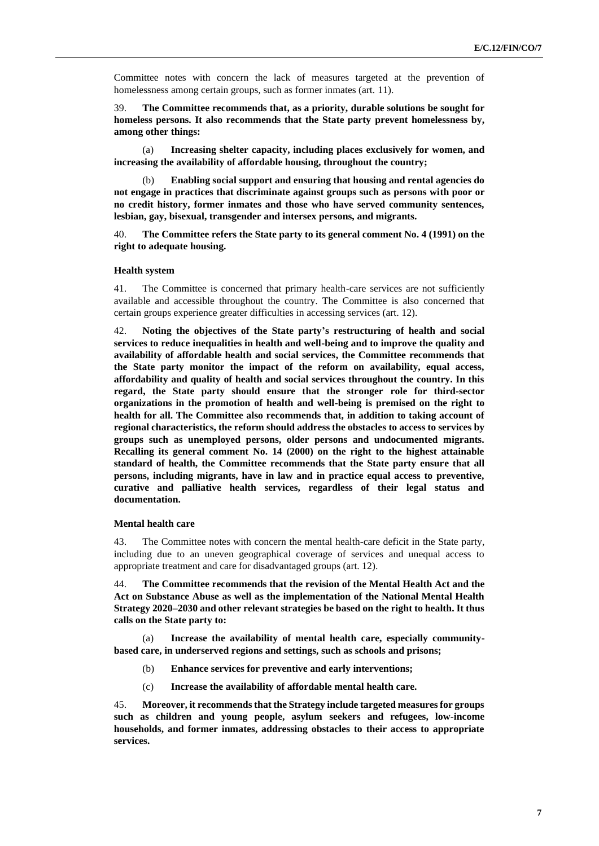Committee notes with concern the lack of measures targeted at the prevention of homelessness among certain groups, such as former inmates (art. 11).

39. **The Committee recommends that, as a priority, durable solutions be sought for homeless persons. It also recommends that the State party prevent homelessness by, among other things:**

(a) **Increasing shelter capacity, including places exclusively for women, and increasing the availability of affordable housing, throughout the country;** 

(b) **Enabling social support and ensuring that housing and rental agencies do not engage in practices that discriminate against groups such as persons with poor or no credit history, former inmates and those who have served community sentences, lesbian, gay, bisexual, transgender and intersex persons, and migrants.** 

40. **The Committee refers the State party to its general comment No. 4 (1991) on the right to adequate housing.** 

#### **Health system**

41. The Committee is concerned that primary health-care services are not sufficiently available and accessible throughout the country. The Committee is also concerned that certain groups experience greater difficulties in accessing services (art. 12).

42. **Noting the objectives of the State party's restructuring of health and social services to reduce inequalities in health and well-being and to improve the quality and availability of affordable health and social services, the Committee recommends that the State party monitor the impact of the reform on availability, equal access, affordability and quality of health and social services throughout the country. In this regard, the State party should ensure that the stronger role for third-sector organizations in the promotion of health and well-being is premised on the right to health for all. The Committee also recommends that, in addition to taking account of regional characteristics, the reform should address the obstacles to access to services by groups such as unemployed persons, older persons and undocumented migrants. Recalling its general comment No. 14 (2000) on the right to the highest attainable standard of health, the Committee recommends that the State party ensure that all persons, including migrants, have in law and in practice equal access to preventive, curative and palliative health services, regardless of their legal status and documentation.** 

#### **Mental health care**

43. The Committee notes with concern the mental health-care deficit in the State party, including due to an uneven geographical coverage of services and unequal access to appropriate treatment and care for disadvantaged groups (art. 12).

44. **The Committee recommends that the revision of the Mental Health Act and the Act on Substance Abuse as well as the implementation of the National Mental Health Strategy 2020–2030 and other relevant strategies be based on the right to health. It thus calls on the State party to:**

(a) **Increase the availability of mental health care, especially communitybased care, in underserved regions and settings, such as schools and prisons;** 

- (b) **Enhance services for preventive and early interventions;**
- (c) **Increase the availability of affordable mental health care.**

45. **Moreover, it recommends that the Strategy include targeted measures for groups such as children and young people, asylum seekers and refugees, low-income households, and former inmates, addressing obstacles to their access to appropriate services.**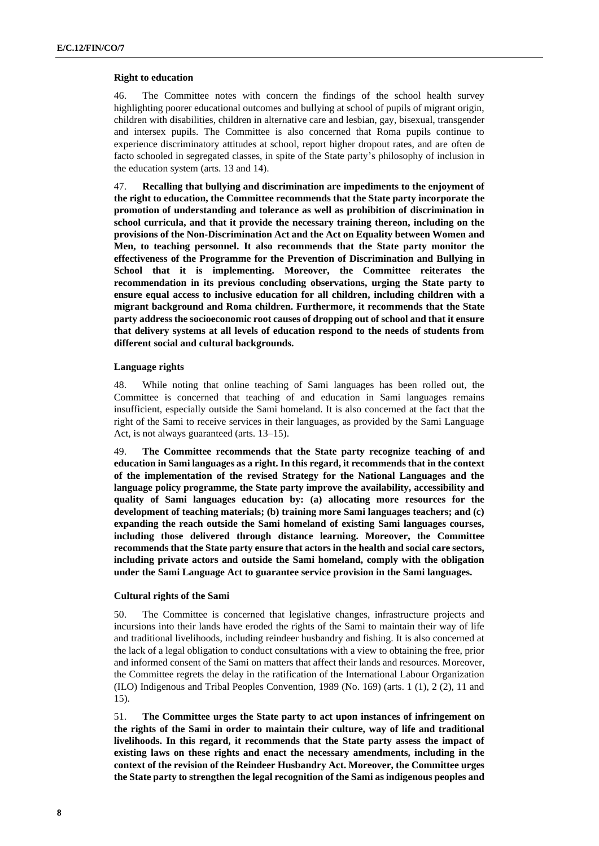#### **Right to education**

46. The Committee notes with concern the findings of the school health survey highlighting poorer educational outcomes and bullying at school of pupils of migrant origin, children with disabilities, children in alternative care and lesbian, gay, bisexual, transgender and intersex pupils. The Committee is also concerned that Roma pupils continue to experience discriminatory attitudes at school, report higher dropout rates, and are often de facto schooled in segregated classes, in spite of the State party's philosophy of inclusion in the education system (arts. 13 and 14).

47. **Recalling that bullying and discrimination are impediments to the enjoyment of the right to education, the Committee recommends that the State party incorporate the promotion of understanding and tolerance as well as prohibition of discrimination in school curricula, and that it provide the necessary training thereon, including on the provisions of the Non-Discrimination Act and the Act on Equality between Women and Men, to teaching personnel. It also recommends that the State party monitor the effectiveness of the Programme for the Prevention of Discrimination and Bullying in School that it is implementing. Moreover, the Committee reiterates the recommendation in its previous concluding observations, urging the State party to ensure equal access to inclusive education for all children, including children with a migrant background and Roma children. Furthermore, it recommends that the State party address the socioeconomic root causes of dropping out of school and that it ensure that delivery systems at all levels of education respond to the needs of students from different social and cultural backgrounds.** 

#### **Language rights**

48. While noting that online teaching of Sami languages has been rolled out, the Committee is concerned that teaching of and education in Sami languages remains insufficient, especially outside the Sami homeland. It is also concerned at the fact that the right of the Sami to receive services in their languages, as provided by the Sami Language Act, is not always guaranteed (arts. 13–15).

49. **The Committee recommends that the State party recognize teaching of and education in Sami languages as a right. In this regard, it recommends that in the context of the implementation of the revised Strategy for the National Languages and the language policy programme, the State party improve the availability, accessibility and quality of Sami languages education by: (a) allocating more resources for the development of teaching materials; (b) training more Sami languages teachers; and (c) expanding the reach outside the Sami homeland of existing Sami languages courses, including those delivered through distance learning. Moreover, the Committee recommends that the State party ensure that actors in the health and social care sectors, including private actors and outside the Sami homeland, comply with the obligation under the Sami Language Act to guarantee service provision in the Sami languages.**

#### **Cultural rights of the Sami**

50. The Committee is concerned that legislative changes, infrastructure projects and incursions into their lands have eroded the rights of the Sami to maintain their way of life and traditional livelihoods, including reindeer husbandry and fishing. It is also concerned at the lack of a legal obligation to conduct consultations with a view to obtaining the free, prior and informed consent of the Sami on matters that affect their lands and resources. Moreover, the Committee regrets the delay in the ratification of the International Labour Organization (ILO) Indigenous and Tribal Peoples Convention, 1989 (No. 169) (arts. 1 (1), 2 (2), 11 and 15).

51. **The Committee urges the State party to act upon instances of infringement on the rights of the Sami in order to maintain their culture, way of life and traditional livelihoods. In this regard, it recommends that the State party assess the impact of existing laws on these rights and enact the necessary amendments, including in the context of the revision of the Reindeer Husbandry Act. Moreover, the Committee urges the State party to strengthen the legal recognition of the Sami as indigenous peoples and**